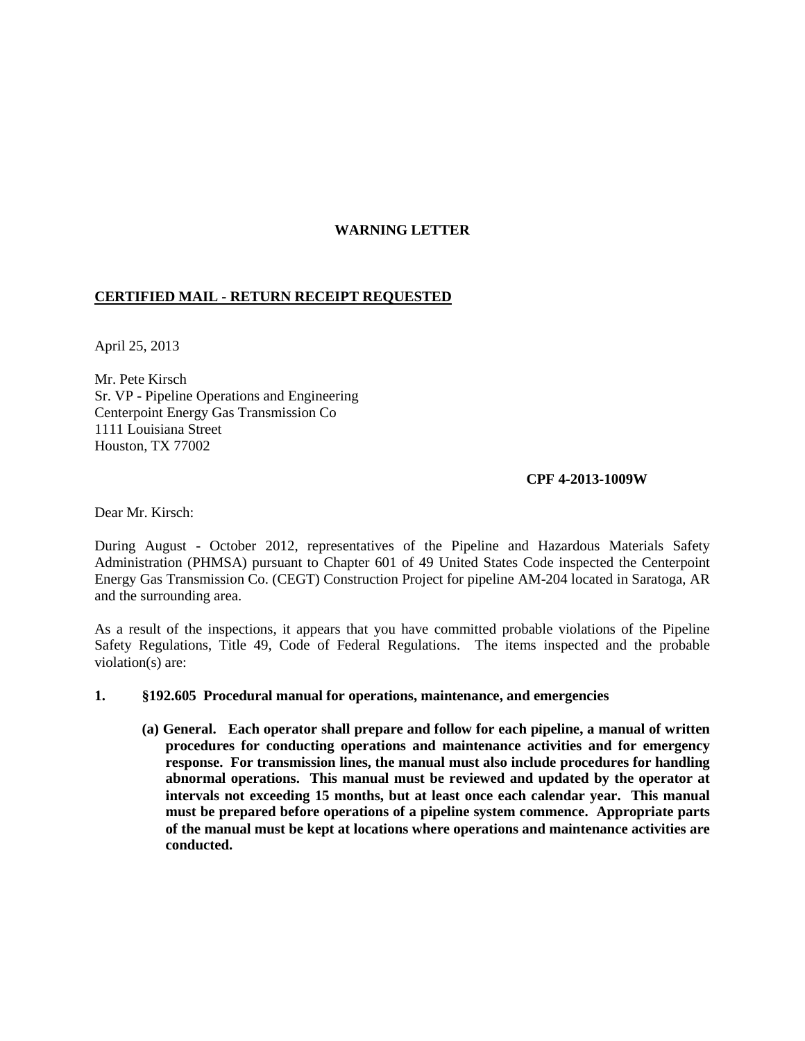## **WARNING LETTER**

# **CERTIFIED MAIL - RETURN RECEIPT REQUESTED**

April 25, 2013

Mr. Pete Kirsch Sr. VP - Pipeline Operations and Engineering Centerpoint Energy Gas Transmission Co 1111 Louisiana Street Houston, TX 77002

#### **CPF 4-2013-1009W**

Dear Mr. Kirsch:

During August - October 2012, representatives of the Pipeline and Hazardous Materials Safety Administration (PHMSA) pursuant to Chapter 601 of 49 United States Code inspected the Centerpoint Energy Gas Transmission Co. (CEGT) Construction Project for pipeline AM-204 located in Saratoga, AR and the surrounding area.

As a result of the inspections, it appears that you have committed probable violations of the Pipeline Safety Regulations, Title 49, Code of Federal Regulations. The items inspected and the probable violation(s) are:

### **1. §192.605 Procedural manual for operations, maintenance, and emergencies**

**(a) General. Each operator shall prepare and follow for each pipeline, a manual of written procedures for conducting operations and maintenance activities and for emergency response. For transmission lines, the manual must also include procedures for handling abnormal operations. This manual must be reviewed and updated by the operator at intervals not exceeding 15 months, but at least once each calendar year. This manual must be prepared before operations of a pipeline system commence. Appropriate parts of the manual must be kept at locations where operations and maintenance activities are conducted.**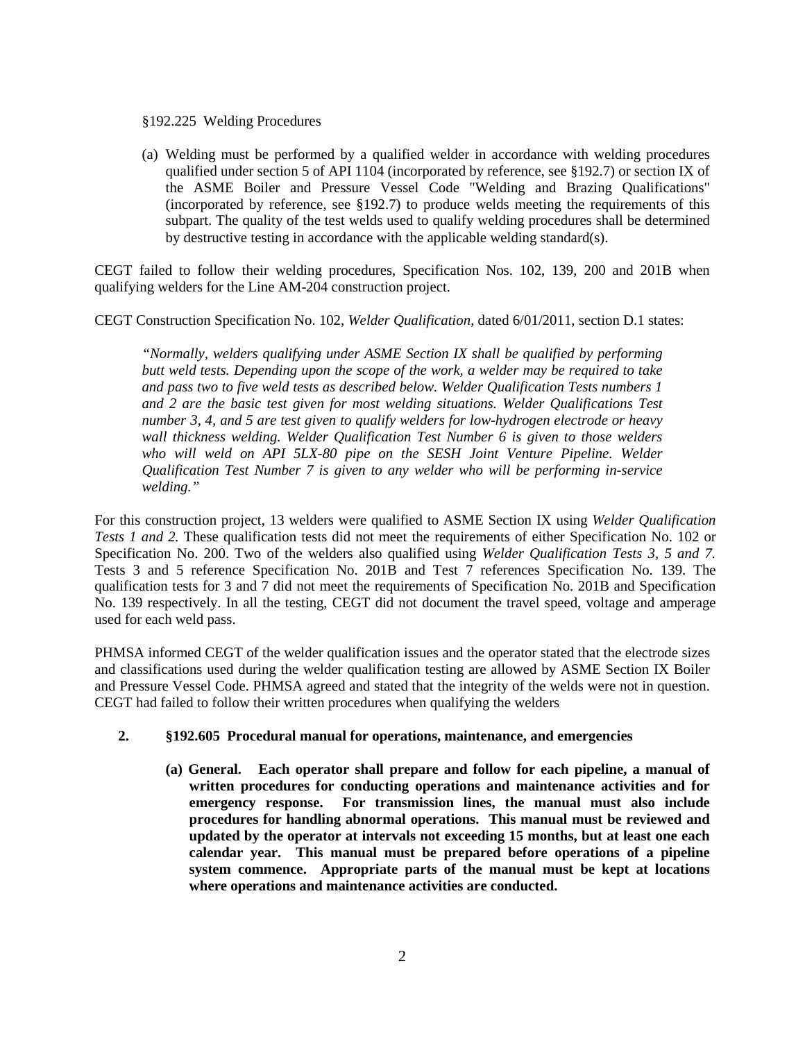#### §192.225 Welding Procedures

(a) Welding must be performed by a qualified welder in accordance with welding procedures qualified under section 5 of API 1104 (incorporated by reference, see §192.7) or section IX of the ASME Boiler and Pressure Vessel Code "Welding and Brazing Qualifications" (incorporated by reference, see §192.7) to produce welds meeting the requirements of this subpart. The quality of the test welds used to qualify welding procedures shall be determined by destructive testing in accordance with the applicable welding standard(s).

CEGT failed to follow their welding procedures, Specification Nos. 102, 139, 200 and 201B when qualifying welders for the Line AM-204 construction project.

CEGT Construction Specification No. 102, *Welder Qualification*, dated 6/01/2011, section D.1 states:

*"Normally, welders qualifying under ASME Section IX shall be qualified by performing butt weld tests. Depending upon the scope of the work, a welder may be required to take and pass two to five weld tests as described below. Welder Qualification Tests numbers 1 and 2 are the basic test given for most welding situations. Welder Qualifications Test number 3, 4, and 5 are test given to qualify welders for low-hydrogen electrode or heavy wall thickness welding. Welder Qualification Test Number 6 is given to those welders*  who will weld on API 5LX-80 pipe on the SESH Joint Venture Pipeline. Welder *Qualification Test Number 7 is given to any welder who will be performing in-service welding."*

For this construction project, 13 welders were qualified to ASME Section IX using *Welder Qualification Tests 1 and 2.* These qualification tests did not meet the requirements of either Specification No. 102 or Specification No. 200. Two of the welders also qualified using *Welder Qualification Tests 3, 5 and 7.* Tests 3 and 5 reference Specification No. 201B and Test 7 references Specification No. 139. The qualification tests for 3 and 7 did not meet the requirements of Specification No. 201B and Specification No. 139 respectively. In all the testing, CEGT did not document the travel speed, voltage and amperage used for each weld pass.

PHMSA informed CEGT of the welder qualification issues and the operator stated that the electrode sizes and classifications used during the welder qualification testing are allowed by ASME Section IX Boiler and Pressure Vessel Code. PHMSA agreed and stated that the integrity of the welds were not in question. CEGT had failed to follow their written procedures when qualifying the welders

# **2. §192.605 Procedural manual for operations, maintenance, and emergencies**

**(a) General. Each operator shall prepare and follow for each pipeline, a manual of written procedures for conducting operations and maintenance activities and for emergency response. For transmission lines, the manual must also include procedures for handling abnormal operations. This manual must be reviewed and updated by the operator at intervals not exceeding 15 months, but at least one each calendar year. This manual must be prepared before operations of a pipeline system commence. Appropriate parts of the manual must be kept at locations where operations and maintenance activities are conducted.**